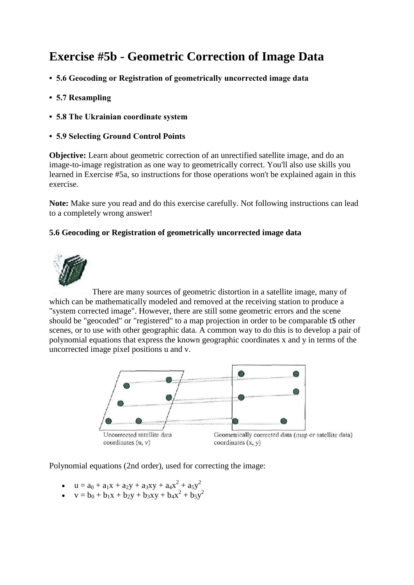# **Exercise #5b - Geometric Correction of Image Data**

- **5.6 Geocoding or Registration of geometrically uncorrected image data**
- **5.7 Resampling**
- **5.8 The Ukrainian coordinate system**
- **5.9 Selecting Ground Control Points**

**Objective:** Learn about geometric correction of an unrectified satellite image, and do an image-to-image registration as one way to geometrically correct. You'll also use skills you learned in Exercise #5a, so instructions for those operations won't be explained again in this exercise.

**Note:** Make sure you read and do this exercise carefully. Not following instructions can lead to a completely wrong answer!

# **5.6 Geocoding or Registration of geometrically uncorrected image data**



There are many sources of geometric distortion in a satellite image, many of which can be mathematically modeled and removed at the receiving station to produce a "system corrected image". However, there are still some geometric errors and the scene should be "geocoded" or "registered" to a map projection in order to be comparable t\$ other scenes, or to use with other geographic data. A common way to do this is to develop a pair of polynomial equations that express the known geographic coordinates x and y in terms of the uncorrected image pixel positions u and v.



Polynomial equations (2nd order), used for correcting the image:

- $u = a_0 + a_1x + a_2y + a_3xy + a_4x^2 + a_5y^2$
- $v = b_0 + b_1x + b_2y + b_3xy + b_4x^2 + b_5y^2$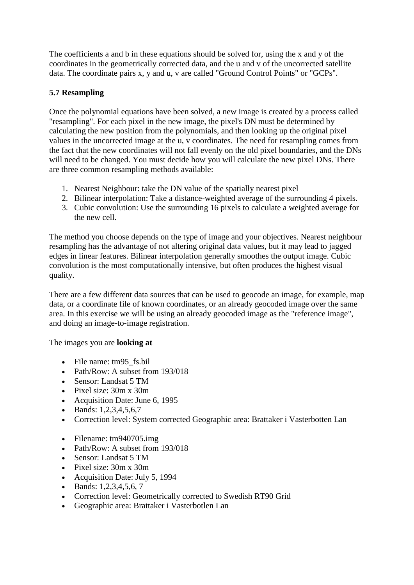The coefficients a and b in these equations should be solved for, using the x and y of the coordinates in the geometrically corrected data, and the u and v of the uncorrected satellite data. The coordinate pairs x, y and u, v are called "Ground Control Points" or "GCPs".

# **5.7 Resampling**

Once the polynomial equations have been solved, a new image is created by a process called "resampling". For each pixel in the new image, the pixel's DN must be determined by calculating the new position from the polynomials, and then looking up the original pixel values in the uncorrected image at the u, v coordinates. The need for resampling comes from the fact that the new coordinates will not fall evenly on the old pixel boundaries, and the DNs will need to be changed. You must decide how you will calculate the new pixel DNs. There are three common resampling methods available:

- 1. Nearest Neighbour: take the DN value of the spatially nearest pixel
- 2. Bilinear interpolation: Take a distance-weighted average of the surrounding 4 pixels.
- 3. Cubic convolution: Use the surrounding 16 pixels to calculate a weighted average for the new cell.

The method you choose depends on the type of image and your objectives. Nearest neighbour resampling has the advantage of not altering original data values, but it may lead to jagged edges in linear features. Bilinear interpolation generally smoothes the output image. Cubic convolution is the most computationally intensive, but often produces the highest visual quality.

There are a few different data sources that can be used to geocode an image, for example, map data, or a coordinate file of known coordinates, or an already geocoded image over the same area. In this exercise we will be using an already geocoded image as the "reference image", and doing an image-to-image registration.

The images you are **looking at**

- File name: tm95 fs.bil
- Path/Row: A subset from 193/018
- Sensor: Landsat 5 TM
- Pixel size: 30m x 30m
- Acquisition Date: June 6, 1995
- Bands:  $1,2,3,4,5,6,7$
- Correction level: System corrected Geographic area: Brattaker i Vasterbotten Lan
- Filename: tm940705.img
- Path/Row: A subset from 193/018
- Sensor: Landsat 5 TM
- Pixel size: 30m x 30m
- Acquisition Date: July 5, 1994
- $\bullet$  Bands: 1,2,3,4,5,6, 7
- Correction level: Geometrically corrected to Swedish RT90 Grid
- Geographic area: Brattaker i Vasterbotlen Lan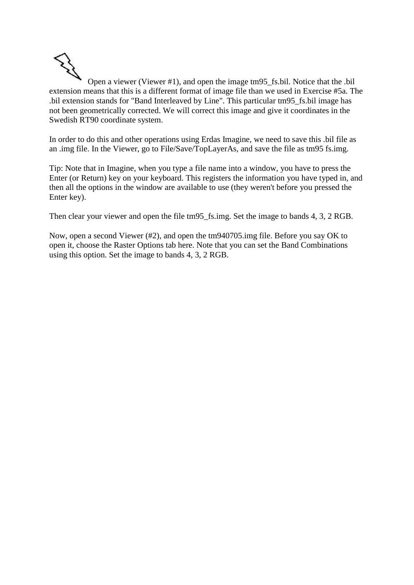Open a viewer (Viewer #1), and open the image tm95\_fs.bil. Notice that the .bil extension means that this is a different format of image file than we used in Exercise #5a. The .bil extension stands for "Band Interleaved by Line". This particular tm95\_fs.bil image has not been geometrically corrected. We will correct this image and give it coordinates in the Swedish RT90 coordinate system.

In order to do this and other operations using Erdas Imagine, we need to save this .bil file as an .img file. In the Viewer, go to File/Save/TopLayerAs, and save the file as tm95 fs.img.

Tip: Note that in Imagine, when you type a file name into a window, you have to press the Enter (or Return) key on your keyboard. This registers the information you have typed in, and then all the options in the window are available to use (they weren't before you pressed the Enter key).

Then clear your viewer and open the file tm95\_fs.img. Set the image to bands 4, 3, 2 RGB.

Now, open a second Viewer (#2), and open the tm940705.img file. Before you say OK to open it, choose the Raster Options tab here. Note that you can set the Band Combinations using this option. Set the image to bands 4, 3, 2 RGB.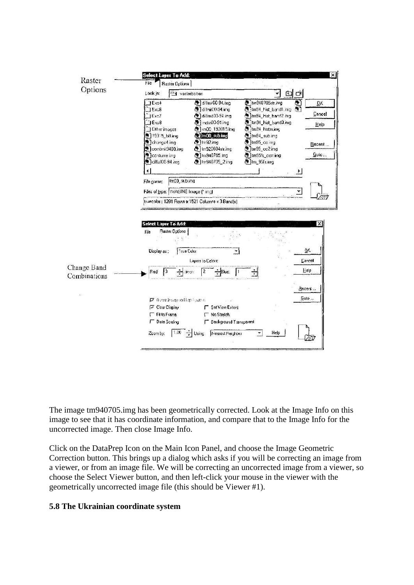

The image tm940705.img has been geometrically corrected. Look at the Image Info on this image to see that it has coordinate information, and compare that to the Image Info for the uncorrected image. Then close Image Info.

Click on the DataPrep Icon on the Main Icon Panel, and choose the Image Geometric Correction button. This brings up a dialog which asks if you will be correcting an image from a viewer, or from an image file. We will be correcting an uncorrected image from a viewer, so choose the Select Viewer button, and then left-click your mouse in the viewer with the geometrically uncorrected image file (this should be Viewer #1).

#### **5.8 The Ukrainian coordinate system**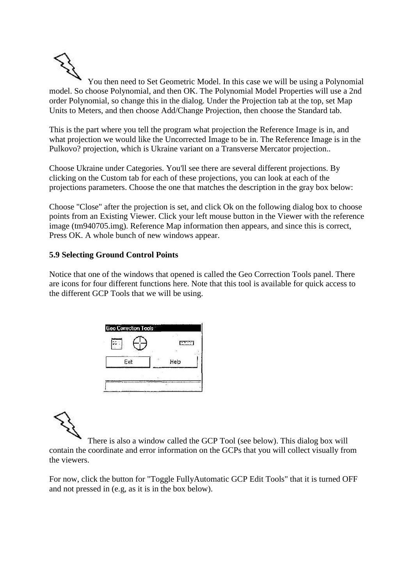

You then need to Set Geometric Model. In this case we will be using a Polynomial model. So choose Polynomial, and then OK. The Polynomial Model Properties will use a 2nd order Polynomial, so change this in the dialog. Under the Projection tab at the top, set Map Units to Meters, and then choose Add/Change Projection, then choose the Standard tab.

This is the part where you tell the program what projection the Reference Image is in, and what projection we would like the Uncorrected Image to be in. The Reference Image is in the Pulkovo? projection, which is Ukraine variant on a Transverse Mercator projection..

Choose Ukraine under Categories. You'll see there are several different projections. By clicking on the Custom tab for each of these projections, you can look at each of the projections parameters. Choose the one that matches the description in the gray box below:

Choose "Close" after the projection is set, and click Ok on the following dialog box to choose points from an Existing Viewer. Click your left mouse button in the Viewer with the reference image (tm940705.img). Reference Map information then appears, and since this is correct, Press OK. A whole bunch of new windows appear.

### **5.9 Selecting Ground Control Points**

Notice that one of the windows that opened is called the Geo Correction Tools panel. There are icons for four different functions here. Note that this tool is available for quick access to the different GCP Tools that we will be using.

|            | 链    |
|------------|------|
| ř.<br>Exit | Help |

There is also a window called the GCP Tool (see below). This dialog box will contain the coordinate and error information on the GCPs that you will collect visually from the viewers.

For now, click the button for "Toggle FullyAutomatic GCP Edit Tools" that it is turned OFF and not pressed in (e.g, as it is in the box below).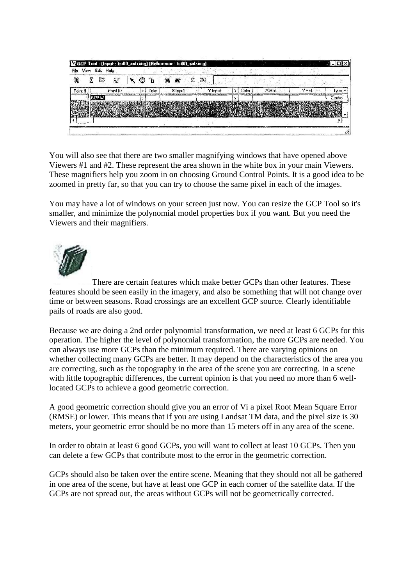| 傾       | ΣS | Ñ.       |  |        |          | 23      |       |         |        |            |
|---------|----|----------|--|--------|----------|---------|-------|---------|--------|------------|
| Point # |    | Point ID |  | Color. | X Input: | Y Input | Calor | $X$ Ref | Y Rel. | <b>UDB</b> |
|         |    |          |  |        |          |         |       |         |        | Contro     |
|         |    |          |  |        |          |         |       |         |        |            |
|         |    |          |  |        |          |         |       |         |        |            |

You will also see that there are two smaller magnifying windows that have opened above Viewers #1 and #2. These represent the area shown in the white box in your main Viewers. These magnifiers help you zoom in on choosing Ground Control Points. It is a good idea to be zoomed in pretty far, so that you can try to choose the same pixel in each of the images.

You may have a lot of windows on your screen just now. You can resize the GCP Tool so it's smaller, and minimize the polynomial model properties box if you want. But you need the Viewers and their magnifiers.



There are certain features which make better GCPs than other features. These features should be seen easily in the imagery, and also be something that will not change over time or between seasons. Road crossings are an excellent GCP source. Clearly identifiable pails of roads are also good.

Because we are doing a 2nd order polynomial transformation, we need at least 6 GCPs for this operation. The higher the level of polynomial transformation, the more GCPs are needed. You can always use more GCPs than the minimum required. There are varying opinions on whether collecting many GCPs are better. It may depend on the characteristics of the area you are correcting, such as the topography in the area of the scene you are correcting. In a scene with little topographic differences, the current opinion is that you need no more than 6 welllocated GCPs to achieve a good geometric correction.

A good geometric correction should give you an error of Vi a pixel Root Mean Square Error (RMSE) or lower. This means that if you are using Landsat TM data, and the pixel size is 30 meters, your geometric error should be no more than 15 meters off in any area of the scene.

In order to obtain at least 6 good GCPs, you will want to collect at least 10 GCPs. Then you can delete a few GCPs that contribute most to the error in the geometric correction.

GCPs should also be taken over the entire scene. Meaning that they should not all be gathered in one area of the scene, but have at least one GCP in each corner of the satellite data. If the GCPs are not spread out, the areas without GCPs will not be geometrically corrected.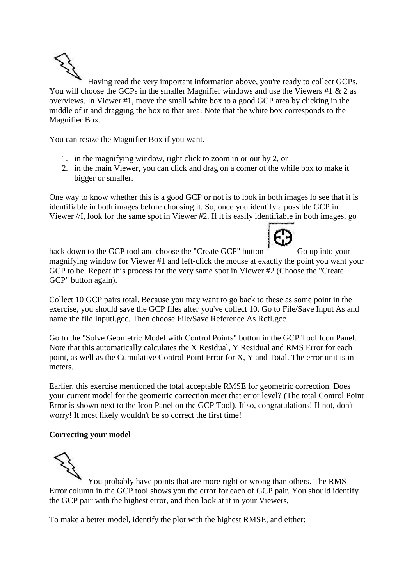Having read the very important information above, you're ready to collect GCPs. You will choose the GCPs in the smaller Magnifier windows and use the Viewers #1 & 2 as overviews. In Viewer #1, move the small white box to a good GCP area by clicking in the middle of it and dragging the box to that area. Note that the white box corresponds to the Magnifier Box.

You can resize the Magnifier Box if you want.

- 1. in the magnifying window, right click to zoom in or out by 2, or
- 2. in the main Viewer, you can click and drag on a comer of the while box to make it bigger or smaller.

One way to know whether this is a good GCP or not is to look in both images lo see that it is identifiable in both images before choosing it. So, once you identify a possible GCP in Viewer //I, look for the same spot in Viewer #2. If it is easily identifiable in both images, go



back down to the GCP tool and choose the "Create GCP" button Go up into your magnifying window for Viewer #1 and left-click the mouse at exactly the point you want your GCP to be. Repeat this process for the very same spot in Viewer #2 (Choose the "Create GCP" button again).

Collect 10 GCP pairs total. Because you may want to go back to these as some point in the exercise, you should save the GCP files after you've collect 10. Go to File/Save Input As and name the file Inputl.gcc. Then choose File/Save Reference As Rcfl.gcc.

Go to the "Solve Geometric Model with Control Points" button in the GCP Tool Icon Panel. Note that this automatically calculates the X Residual, Y Residual and RMS Error for each point, as well as the Cumulative Control Point Error for X, Y and Total. The error unit is in meters.

Earlier, this exercise mentioned the total acceptable RMSE for geometric correction. Does your current model for the geometric correction meet that error level? (The total Control Point Error is shown next to the Icon Panel on the GCP Tool). If so, congratulations! If not, don't worry! It most likely wouldn't be so correct the first time!

# **Correcting your model**

You probably have points that are more right or wrong than others. The RMS Error column in the GCP tool shows you the error for each of GCP pair. You should identify the GCP pair with the highest error, and then look at it in your Viewers,

To make a better model, identify the plot with the highest RMSE, and either: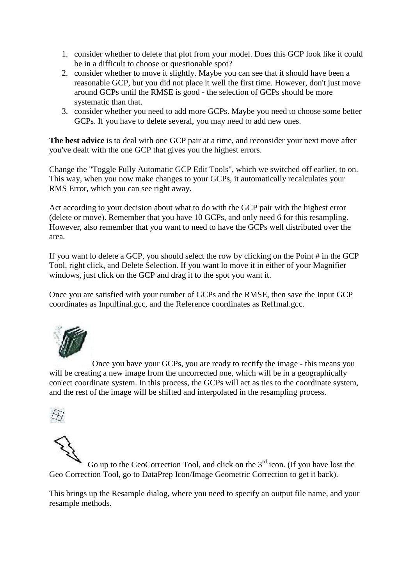- 1. consider whether to delete that plot from your model. Does this GCP look like it could be in a difficult to choose or questionable spot?
- 2. consider whether to move it slightly. Maybe you can see that it should have been a reasonable GCP, but you did not place it well the first time. However, don't just move around GCPs until the RMSE is good - the selection of GCPs should be more systematic than that.
- 3. consider whether you need to add more GCPs. Maybe you need to choose some better GCPs. If you have to delete several, you may need to add new ones.

**The best advice** is to deal with one GCP pair at a time, and reconsider your next move after you've dealt with the one GCP that gives you the highest errors.

Change the "Toggle Fully Automatic GCP Edit Tools", which we switched off earlier, to on. This way, when you now make changes to your GCPs, it automatically recalculates your RMS Error, which you can see right away.

Act according to your decision about what to do with the GCP pair with the highest error (delete or move). Remember that you have 10 GCPs, and only need 6 for this resampling. However, also remember that you want to need to have the GCPs well distributed over the area.

If you want lo delete a GCP, you should select the row by clicking on the Point # in the GCP Tool, right click, and Delete Selection. If you want lo move it in either of your Magnifier windows, just click on the GCP and drag it to the spot you want it.

Once you are satisfied with your number of GCPs and the RMSE, then save the Input GCP coordinates as Inpulfinal.gcc, and the Reference coordinates as Reffmal.gcc.



Once you have your GCPs, you are ready to rectify the image - this means you will be creating a new image from the uncorrected one, which will be in a geographically con'ect coordinate system. In this process, the GCPs will act as ties to the coordinate system, and the rest of the image will be shifted and interpolated in the resampling process.





Go up to the GeoCorrection Tool, and click on the  $3<sup>rd</sup>$  icon. (If you have lost the Geo Correction Tool, go to DataPrep Icon/Image Geometric Correction to get it back).

This brings up the Resample dialog, where you need to specify an output file name, and your resample methods.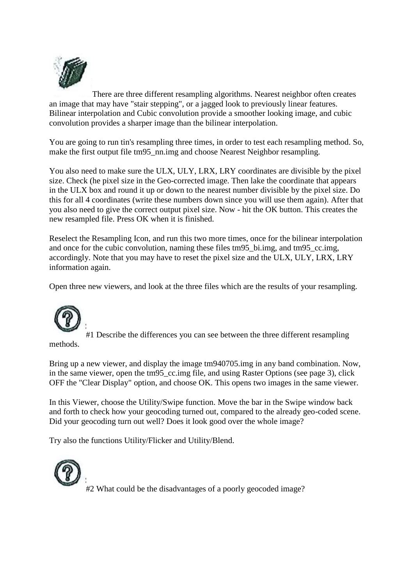

There are three different resampling algorithms. Nearest neighbor often creates an image that may have "stair stepping", or a jagged look to previously linear features. Bilinear interpolation and Cubic convolution provide a smoother looking image, and cubic convolution provides a sharper image than the bilinear interpolation.

You are going to run tin's resampling three times, in order to test each resampling method. So, make the first output file tm95 nn.img and choose Nearest Neighbor resampling.

You also need to make sure the ULX, ULY, LRX, LRY coordinates are divisible by the pixel size. Check (he pixel size in the Geo-corrected image. Then lake the coordinate that appears in the ULX box and round it up or down to the nearest number divisible by the pixel size. Do this for all 4 coordinates (write these numbers down since you will use them again). After that you also need to give the correct output pixel size. Now - hit the OK button. This creates the new resampled file. Press OK when it is finished.

Reselect the Resampling Icon, and run this two more times, once for the bilinear interpolation and once for the cubic convolution, naming these files tm95 bi.img, and tm95 cc.img, accordingly. Note that you may have to reset the pixel size and the ULX, ULY, LRX, LRY information again.

Open three new viewers, and look at the three files which are the results of your resampling.



#1 Describe the differences you can see between the three different resampling methods.

Bring up a new viewer, and display the image tm940705.img in any band combination. Now, in the same viewer, open the tm95 cc.img file, and using Raster Options (see page 3), click OFF the "Clear Display" option, and choose OK. This opens two images in the same viewer.

In this Viewer, choose the Utility/Swipe function. Move the bar in the Swipe window back and forth to check how your geocoding turned out, compared to the already geo-coded scene. Did your geocoding turn out well? Does it look good over the whole image?

Try also the functions Utility/Flicker and Utility/Blend.



#2 What could be the disadvantages of a poorly geocoded image?